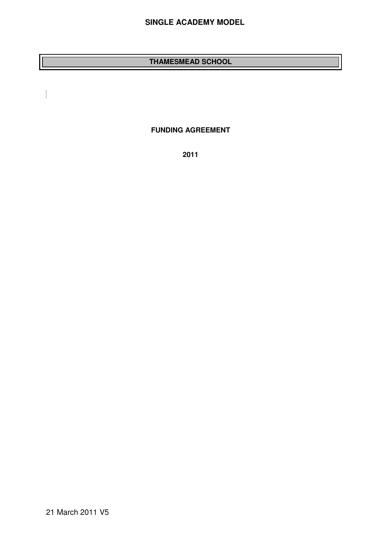## **SINGLE ACADEMY MODEL**

## **THAMESMEAD SCHOOL**

**FUNDING AGREEMENT** 

**2011** 

 $\overline{\phantom{a}}$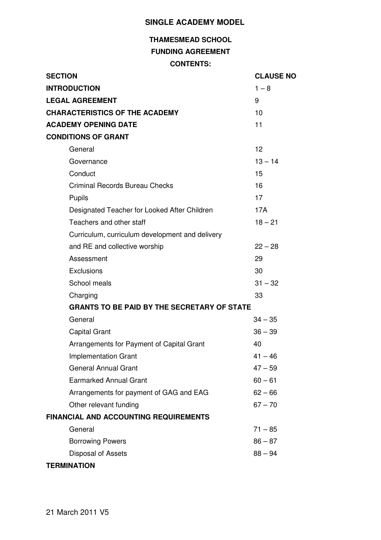## **SINGLE ACADEMY MODEL**

# **THAMESMEAD SCHOOL FUNDING AGREEMENT CONTENTS:**

| <b>SECTION</b>                                     | <b>CLAUSE NO</b> |
|----------------------------------------------------|------------------|
| <b>INTRODUCTION</b>                                | $1 - 8$          |
| <b>LEGAL AGREEMENT</b>                             | 9                |
| <b>CHARACTERISTICS OF THE ACADEMY</b>              | 10               |
| <b>ACADEMY OPENING DATE</b>                        | 11               |
| <b>CONDITIONS OF GRANT</b>                         |                  |
| General                                            | 12               |
| Governance                                         | $13 - 14$        |
| Conduct                                            | 15               |
| <b>Criminal Records Bureau Checks</b>              | 16               |
| Pupils                                             | 17               |
| Designated Teacher for Looked After Children       | 17A              |
| Teachers and other staff                           | $18 - 21$        |
| Curriculum, curriculum development and delivery    |                  |
| and RE and collective worship                      | $22 - 28$        |
| Assessment                                         | 29               |
| Exclusions                                         | 30               |
| School meals                                       | $31 - 32$        |
| Charging                                           | 33               |
| <b>GRANTS TO BE PAID BY THE SECRETARY OF STATE</b> |                  |
| General                                            | $34 - 35$        |
| <b>Capital Grant</b>                               | $36 - 39$        |
| Arrangements for Payment of Capital Grant          | 40               |
| <b>Implementation Grant</b>                        | $41 - 46$        |
| <b>General Annual Grant</b>                        | $47 - 59$        |
| <b>Earmarked Annual Grant</b>                      | $60 - 61$        |
| Arrangements for payment of GAG and EAG            | $62 - 66$        |
| Other relevant funding                             | $67 - 70$        |
| <b>FINANCIAL AND ACCOUNTING REQUIREMENTS</b>       |                  |
| General                                            | $71 - 85$        |
| <b>Borrowing Powers</b>                            | $86 - 87$        |
| Disposal of Assets                                 | $88 - 94$        |
| <b>TERMINATION</b>                                 |                  |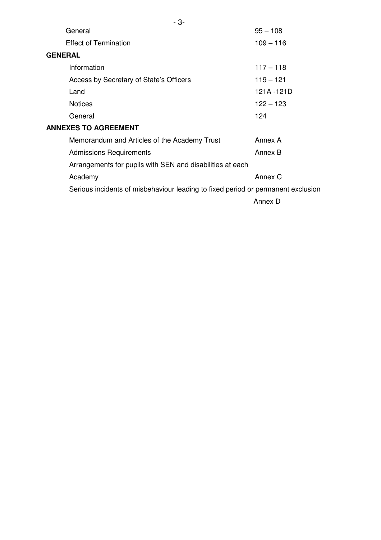| - 3-                                                      |                                                                                  |
|-----------------------------------------------------------|----------------------------------------------------------------------------------|
| General                                                   | $95 - 108$                                                                       |
| <b>Effect of Termination</b>                              | $109 - 116$                                                                      |
| <b>GENERAL</b>                                            |                                                                                  |
| Information                                               | $117 - 118$                                                                      |
| Access by Secretary of State's Officers                   | $119 - 121$                                                                      |
| Land                                                      | 121A - 121D                                                                      |
| <b>Notices</b>                                            | $122 - 123$                                                                      |
| General                                                   | 124                                                                              |
| <b>ANNEXES TO AGREEMENT</b>                               |                                                                                  |
| Memorandum and Articles of the Academy Trust              | Annex A                                                                          |
| <b>Admissions Requirements</b>                            | Annex B                                                                          |
| Arrangements for pupils with SEN and disabilities at each |                                                                                  |
| Academy                                                   | Annex C                                                                          |
|                                                           | Serious incidents of misbehaviour leading to fixed period or permanent exclusion |
|                                                           | Annex D                                                                          |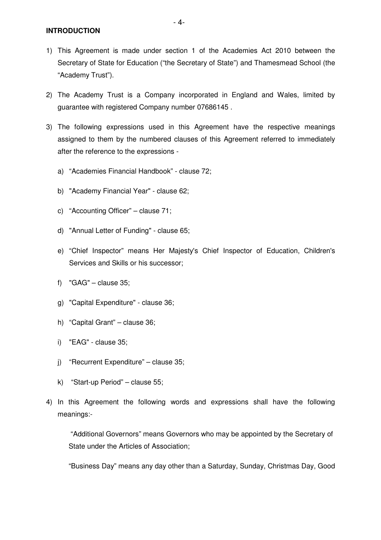- 1) This Agreement is made under section 1 of the Academies Act 2010 between the Secretary of State for Education ("the Secretary of State") and Thamesmead School (the "Academy Trust").
- 2) The Academy Trust is a Company incorporated in England and Wales, limited by guarantee with registered Company number 07686145 .
- 3) The following expressions used in this Agreement have the respective meanings assigned to them by the numbered clauses of this Agreement referred to immediately after the reference to the expressions
	- a) "Academies Financial Handbook" clause 72;
	- b) "Academy Financial Year" clause 62;
	- c) "Accounting Officer" clause 71;
	- d) "Annual Letter of Funding" clause 65;
	- e) "Chief Inspector" means Her Majesty's Chief Inspector of Education, Children's Services and Skills or his successor;
	- f)  $"GAG"$  clause 35;
	- g) "Capital Expenditure" clause 36;
	- h) "Capital Grant" clause 36;
	- i) "EAG" clause 35;
	- j) "Recurrent Expenditure" clause 35;
	- k) "Start-up Period" clause 55;
- 4) In this Agreement the following words and expressions shall have the following meanings:-

 "Additional Governors" means Governors who may be appointed by the Secretary of State under the Articles of Association;

"Business Day" means any day other than a Saturday, Sunday, Christmas Day, Good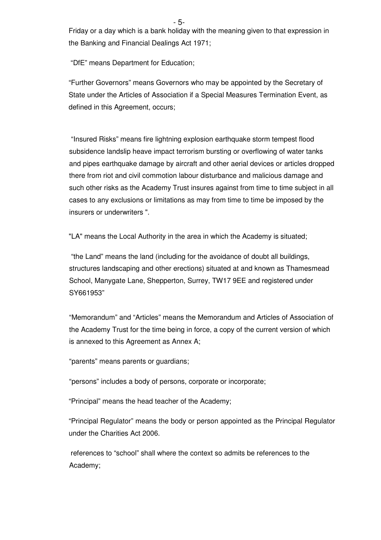Friday or a day which is a bank holiday with the meaning given to that expression in the Banking and Financial Dealings Act 1971;

"DfE" means Department for Education;

"Further Governors" means Governors who may be appointed by the Secretary of State under the Articles of Association if a Special Measures Termination Event, as defined in this Agreement, occurs;

"Insured Risks" means fire lightning explosion earthquake storm tempest flood subsidence landslip heave impact terrorism bursting or overflowing of water tanks and pipes earthquake damage by aircraft and other aerial devices or articles dropped there from riot and civil commotion labour disturbance and malicious damage and such other risks as the Academy Trust insures against from time to time subject in all cases to any exclusions or limitations as may from time to time be imposed by the insurers or underwriters ".

"LA" means the Local Authority in the area in which the Academy is situated;

"the Land" means the land (including for the avoidance of doubt all buildings, structures landscaping and other erections) situated at and known as Thamesmead School, Manygate Lane, Shepperton, Surrey, TW17 9EE and registered under SY661953"

"Memorandum" and "Articles" means the Memorandum and Articles of Association of the Academy Trust for the time being in force, a copy of the current version of which is annexed to this Agreement as Annex A;

"parents" means parents or guardians;

"persons" includes a body of persons, corporate or incorporate;

"Principal" means the head teacher of the Academy;

"Principal Regulator" means the body or person appointed as the Principal Regulator under the Charities Act 2006.

 references to "school" shall where the context so admits be references to the Academy;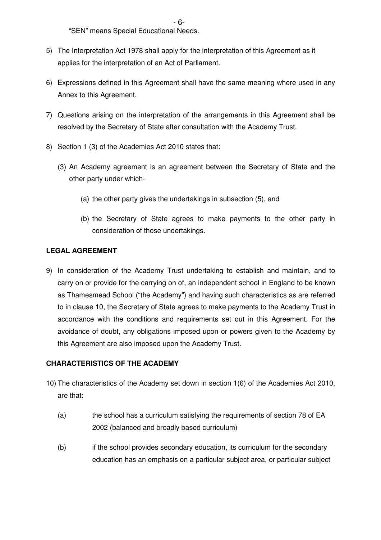$-6$ -"SEN" means Special Educational Needs.

- 5) The Interpretation Act 1978 shall apply for the interpretation of this Agreement as it applies for the interpretation of an Act of Parliament.
- 6) Expressions defined in this Agreement shall have the same meaning where used in any Annex to this Agreement.
- 7) Questions arising on the interpretation of the arrangements in this Agreement shall be resolved by the Secretary of State after consultation with the Academy Trust.
- 8) Section 1 (3) of the Academies Act 2010 states that:
	- (3) An Academy agreement is an agreement between the Secretary of State and the other party under which-
		- (a) the other party gives the undertakings in subsection (5), and
		- (b) the Secretary of State agrees to make payments to the other party in consideration of those undertakings.

## **LEGAL AGREEMENT**

9) In consideration of the Academy Trust undertaking to establish and maintain, and to carry on or provide for the carrying on of, an independent school in England to be known as Thamesmead School ("the Academy") and having such characteristics as are referred to in clause 10, the Secretary of State agrees to make payments to the Academy Trust in accordance with the conditions and requirements set out in this Agreement. For the avoidance of doubt, any obligations imposed upon or powers given to the Academy by this Agreement are also imposed upon the Academy Trust.

## **CHARACTERISTICS OF THE ACADEMY**

- 10) The characteristics of the Academy set down in section 1(6) of the Academies Act 2010, are that:
	- (a) the school has a curriculum satisfying the requirements of section 78 of EA 2002 (balanced and broadly based curriculum)
	- (b) if the school provides secondary education, its curriculum for the secondary education has an emphasis on a particular subject area, or particular subject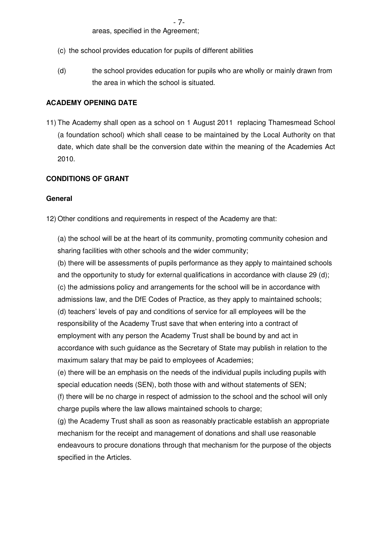areas, specified in the Agreement;

- (c) the school provides education for pupils of different abilities
- (d) the school provides education for pupils who are wholly or mainly drawn from the area in which the school is situated.

#### **ACADEMY OPENING DATE**

11) The Academy shall open as a school on 1 August 2011 replacing Thamesmead School (a foundation school) which shall cease to be maintained by the Local Authority on that date, which date shall be the conversion date within the meaning of the Academies Act 2010.

## **CONDITIONS OF GRANT**

#### **General**

12) Other conditions and requirements in respect of the Academy are that:

(a) the school will be at the heart of its community, promoting community cohesion and sharing facilities with other schools and the wider community;

(b) there will be assessments of pupils performance as they apply to maintained schools and the opportunity to study for external qualifications in accordance with clause 29 (d); (c) the admissions policy and arrangements for the school will be in accordance with admissions law, and the DfE Codes of Practice, as they apply to maintained schools; (d) teachers' levels of pay and conditions of service for all employees will be the responsibility of the Academy Trust save that when entering into a contract of employment with any person the Academy Trust shall be bound by and act in accordance with such guidance as the Secretary of State may publish in relation to the maximum salary that may be paid to employees of Academies;

(e) there will be an emphasis on the needs of the individual pupils including pupils with special education needs (SEN), both those with and without statements of SEN; (f) there will be no charge in respect of admission to the school and the school will only charge pupils where the law allows maintained schools to charge;

(g) the Academy Trust shall as soon as reasonably practicable establish an appropriate mechanism for the receipt and management of donations and shall use reasonable endeavours to procure donations through that mechanism for the purpose of the objects specified in the Articles.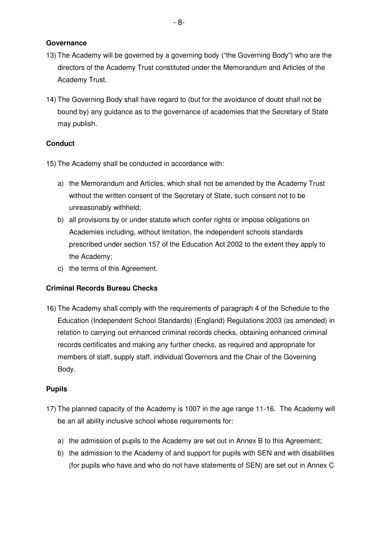#### **Governance**

- 13) The Academy will be governed by a governing body ("the Governing Body") who are the directors of the Academy Trust constituted under the Memorandum and Articles of the Academy Trust.
- 14) The Governing Body shall have regard to (but for the avoidance of doubt shall not be bound by) any guidance as to the governance of academies that the Secretary of State may publish.

#### **Conduct**

- 15) The Academy shall be conducted in accordance with:
	- a) the Memorandum and Articles, which shall not be amended by the Academy Trust without the written consent of the Secretary of State, such consent not to be unreasonably withheld;
	- b) all provisions by or under statute which confer rights or impose obligations on Academies including, without limitation, the independent schools standards prescribed under section 157 of the Education Act 2002 to the extent they apply to the Academy;
	- c) the terms of this Agreement.

#### **Criminal Records Bureau Checks**

16) The Academy shall comply with the requirements of paragraph 4 of the Schedule to the Education (Independent School Standards) (England) Regulations 2003 (as amended) in relation to carrying out enhanced criminal records checks, obtaining enhanced criminal records certificates and making any further checks, as required and appropriate for members of staff, supply staff, individual Governors and the Chair of the Governing Body.

#### **Pupils**

- 17) The planned capacity of the Academy is 1007 in the age range 11-16. The Academy will be an all ability inclusive school whose requirements for:
	- a) the admission of pupils to the Academy are set out in Annex B to this Agreement;
	- b) the admission to the Academy of and support for pupils with SEN and with disabilities (for pupils who have and who do not have statements of SEN) are set out in Annex C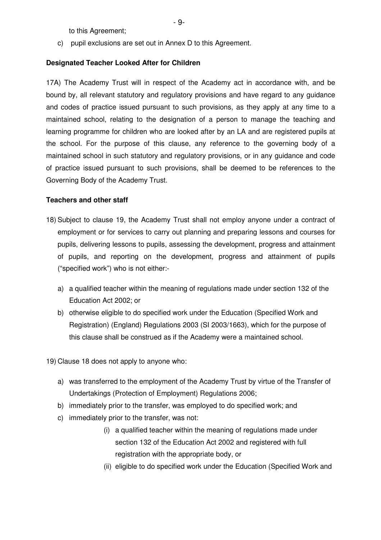to this Agreement;

c) pupil exclusions are set out in Annex D to this Agreement.

## **Designated Teacher Looked After for Children**

17A) The Academy Trust will in respect of the Academy act in accordance with, and be bound by, all relevant statutory and regulatory provisions and have regard to any guidance and codes of practice issued pursuant to such provisions, as they apply at any time to a maintained school, relating to the designation of a person to manage the teaching and learning programme for children who are looked after by an LA and are registered pupils at the school. For the purpose of this clause, any reference to the governing body of a maintained school in such statutory and regulatory provisions, or in any guidance and code of practice issued pursuant to such provisions, shall be deemed to be references to the Governing Body of the Academy Trust.

## **Teachers and other staff**

- 18) Subject to clause 19, the Academy Trust shall not employ anyone under a contract of employment or for services to carry out planning and preparing lessons and courses for pupils, delivering lessons to pupils, assessing the development, progress and attainment of pupils, and reporting on the development, progress and attainment of pupils ("specified work") who is not either:
	- a) a qualified teacher within the meaning of regulations made under section 132 of the Education Act 2002; or
	- b) otherwise eligible to do specified work under the Education (Specified Work and Registration) (England) Regulations 2003 (SI 2003/1663), which for the purpose of this clause shall be construed as if the Academy were a maintained school.

19) Clause 18 does not apply to anyone who:

- a) was transferred to the employment of the Academy Trust by virtue of the Transfer of Undertakings (Protection of Employment) Regulations 2006;
- b) immediately prior to the transfer, was employed to do specified work; and
- c) immediately prior to the transfer, was not:
	- (i) a qualified teacher within the meaning of regulations made under section 132 of the Education Act 2002 and registered with full registration with the appropriate body, or
	- (ii) eligible to do specified work under the Education (Specified Work and

- 9-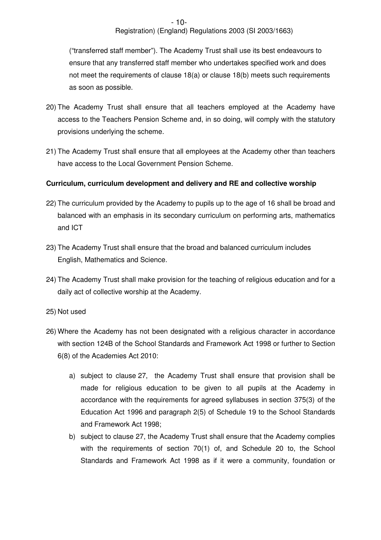## Registration) (England) Regulations 2003 (SI 2003/1663)

("transferred staff member"). The Academy Trust shall use its best endeavours to ensure that any transferred staff member who undertakes specified work and does not meet the requirements of clause 18(a) or clause 18(b) meets such requirements as soon as possible.

- 20) The Academy Trust shall ensure that all teachers employed at the Academy have access to the Teachers Pension Scheme and, in so doing, will comply with the statutory provisions underlying the scheme.
- 21) The Academy Trust shall ensure that all employees at the Academy other than teachers have access to the Local Government Pension Scheme.

## **Curriculum, curriculum development and delivery and RE and collective worship**

- 22) The curriculum provided by the Academy to pupils up to the age of 16 shall be broad and balanced with an emphasis in its secondary curriculum on performing arts, mathematics and ICT
- 23) The Academy Trust shall ensure that the broad and balanced curriculum includes English, Mathematics and Science.
- 24) The Academy Trust shall make provision for the teaching of religious education and for a daily act of collective worship at the Academy.
- 25) Not used
- 26) Where the Academy has not been designated with a religious character in accordance with section 124B of the School Standards and Framework Act 1998 or further to Section 6(8) of the Academies Act 2010:
	- a) subject to clause 27, the Academy Trust shall ensure that provision shall be made for religious education to be given to all pupils at the Academy in accordance with the requirements for agreed syllabuses in section 375(3) of the Education Act 1996 and paragraph 2(5) of Schedule 19 to the School Standards and Framework Act 1998;
	- b) subject to clause 27, the Academy Trust shall ensure that the Academy complies with the requirements of section 70(1) of, and Schedule 20 to, the School Standards and Framework Act 1998 as if it were a community, foundation or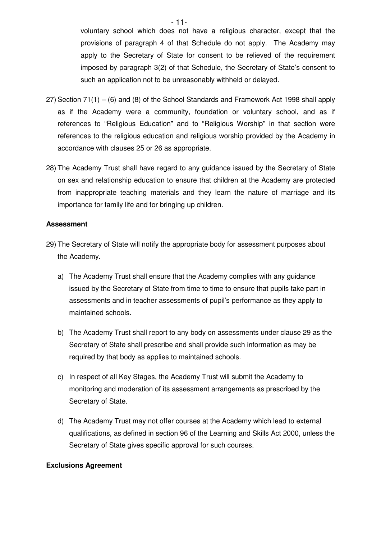$-$  11voluntary school which does not have a religious character, except that the provisions of paragraph 4 of that Schedule do not apply. The Academy may apply to the Secretary of State for consent to be relieved of the requirement imposed by paragraph 3(2) of that Schedule, the Secretary of State's consent to such an application not to be unreasonably withheld or delayed.

- 27) Section 71(1) (6) and (8) of the School Standards and Framework Act 1998 shall apply as if the Academy were a community, foundation or voluntary school, and as if references to "Religious Education" and to "Religious Worship" in that section were references to the religious education and religious worship provided by the Academy in accordance with clauses 25 or 26 as appropriate.
- 28) The Academy Trust shall have regard to any guidance issued by the Secretary of State on sex and relationship education to ensure that children at the Academy are protected from inappropriate teaching materials and they learn the nature of marriage and its importance for family life and for bringing up children.

## **Assessment**

- 29) The Secretary of State will notify the appropriate body for assessment purposes about the Academy.
	- a) The Academy Trust shall ensure that the Academy complies with any guidance issued by the Secretary of State from time to time to ensure that pupils take part in assessments and in teacher assessments of pupil's performance as they apply to maintained schools.
	- b) The Academy Trust shall report to any body on assessments under clause 29 as the Secretary of State shall prescribe and shall provide such information as may be required by that body as applies to maintained schools.
	- c) In respect of all Key Stages, the Academy Trust will submit the Academy to monitoring and moderation of its assessment arrangements as prescribed by the Secretary of State.
	- d) The Academy Trust may not offer courses at the Academy which lead to external qualifications, as defined in section 96 of the Learning and Skills Act 2000, unless the Secretary of State gives specific approval for such courses.

#### **Exclusions Agreement**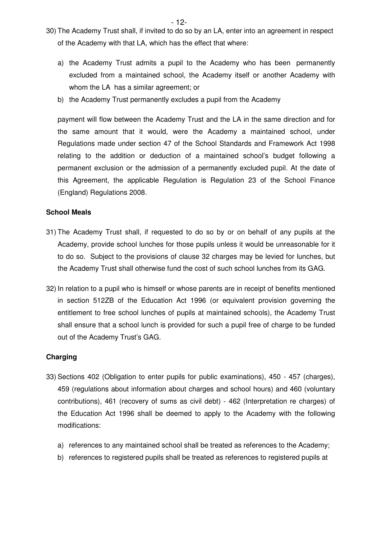- $12$ -30) The Academy Trust shall, if invited to do so by an LA, enter into an agreement in respect of the Academy with that LA, which has the effect that where:
	- a) the Academy Trust admits a pupil to the Academy who has been permanently excluded from a maintained school, the Academy itself or another Academy with whom the LA has a similar agreement; or
	- b) the Academy Trust permanently excludes a pupil from the Academy

payment will flow between the Academy Trust and the LA in the same direction and for the same amount that it would, were the Academy a maintained school, under Regulations made under section 47 of the School Standards and Framework Act 1998 relating to the addition or deduction of a maintained school's budget following a permanent exclusion or the admission of a permanently excluded pupil. At the date of this Agreement, the applicable Regulation is Regulation 23 of the School Finance (England) Regulations 2008.

#### **School Meals**

- 31) The Academy Trust shall, if requested to do so by or on behalf of any pupils at the Academy, provide school lunches for those pupils unless it would be unreasonable for it to do so. Subject to the provisions of clause 32 charges may be levied for lunches, but the Academy Trust shall otherwise fund the cost of such school lunches from its GAG.
- 32) In relation to a pupil who is himself or whose parents are in receipt of benefits mentioned in section 512ZB of the Education Act 1996 (or equivalent provision governing the entitlement to free school lunches of pupils at maintained schools), the Academy Trust shall ensure that a school lunch is provided for such a pupil free of charge to be funded out of the Academy Trust's GAG.

#### **Charging**

- 33) Sections 402 (Obligation to enter pupils for public examinations), 450 457 (charges), 459 (regulations about information about charges and school hours) and 460 (voluntary contributions), 461 (recovery of sums as civil debt) - 462 (Interpretation re charges) of the Education Act 1996 shall be deemed to apply to the Academy with the following modifications:
	- a) references to any maintained school shall be treated as references to the Academy;
	- b) references to registered pupils shall be treated as references to registered pupils at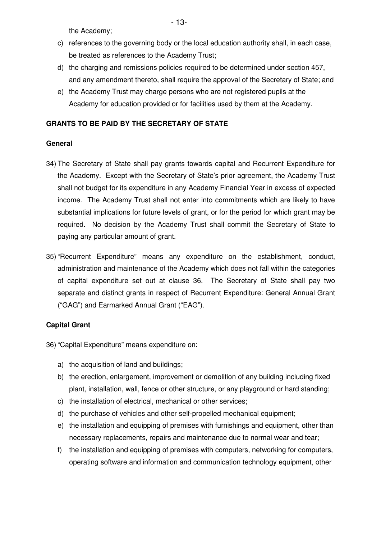the Academy;

- c) references to the governing body or the local education authority shall, in each case, be treated as references to the Academy Trust;
- d) the charging and remissions policies required to be determined under section 457, and any amendment thereto, shall require the approval of the Secretary of State; and
- e) the Academy Trust may charge persons who are not registered pupils at the Academy for education provided or for facilities used by them at the Academy.

## **GRANTS TO BE PAID BY THE SECRETARY OF STATE**

#### **General**

- 34) The Secretary of State shall pay grants towards capital and Recurrent Expenditure for the Academy. Except with the Secretary of State's prior agreement, the Academy Trust shall not budget for its expenditure in any Academy Financial Year in excess of expected income. The Academy Trust shall not enter into commitments which are likely to have substantial implications for future levels of grant, or for the period for which grant may be required. No decision by the Academy Trust shall commit the Secretary of State to paying any particular amount of grant.
- 35) "Recurrent Expenditure" means any expenditure on the establishment, conduct, administration and maintenance of the Academy which does not fall within the categories of capital expenditure set out at clause 36. The Secretary of State shall pay two separate and distinct grants in respect of Recurrent Expenditure: General Annual Grant ("GAG") and Earmarked Annual Grant ("EAG").

## **Capital Grant**

36) "Capital Expenditure" means expenditure on:

- a) the acquisition of land and buildings;
- b) the erection, enlargement, improvement or demolition of any building including fixed plant, installation, wall, fence or other structure, or any playground or hard standing;
- c) the installation of electrical, mechanical or other services;
- d) the purchase of vehicles and other self-propelled mechanical equipment;
- e) the installation and equipping of premises with furnishings and equipment, other than necessary replacements, repairs and maintenance due to normal wear and tear;
- f) the installation and equipping of premises with computers, networking for computers, operating software and information and communication technology equipment, other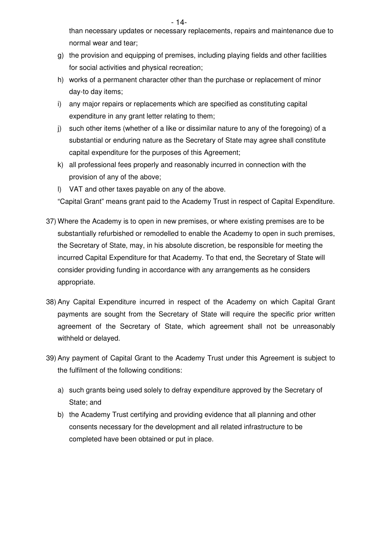- 14 than necessary updates or necessary replacements, repairs and maintenance due to normal wear and tear;

- g) the provision and equipping of premises, including playing fields and other facilities for social activities and physical recreation;
- h) works of a permanent character other than the purchase or replacement of minor day-to day items;
- i) any major repairs or replacements which are specified as constituting capital expenditure in any grant letter relating to them;
- j) such other items (whether of a like or dissimilar nature to any of the foregoing) of a substantial or enduring nature as the Secretary of State may agree shall constitute capital expenditure for the purposes of this Agreement;
- k) all professional fees properly and reasonably incurred in connection with the provision of any of the above;
- l) VAT and other taxes payable on any of the above.

"Capital Grant" means grant paid to the Academy Trust in respect of Capital Expenditure.

- 37) Where the Academy is to open in new premises, or where existing premises are to be substantially refurbished or remodelled to enable the Academy to open in such premises, the Secretary of State, may, in his absolute discretion, be responsible for meeting the incurred Capital Expenditure for that Academy. To that end, the Secretary of State will consider providing funding in accordance with any arrangements as he considers appropriate.
- 38) Any Capital Expenditure incurred in respect of the Academy on which Capital Grant payments are sought from the Secretary of State will require the specific prior written agreement of the Secretary of State, which agreement shall not be unreasonably withheld or delayed.
- 39) Any payment of Capital Grant to the Academy Trust under this Agreement is subject to the fulfilment of the following conditions:
	- a) such grants being used solely to defray expenditure approved by the Secretary of State; and
	- b) the Academy Trust certifying and providing evidence that all planning and other consents necessary for the development and all related infrastructure to be completed have been obtained or put in place.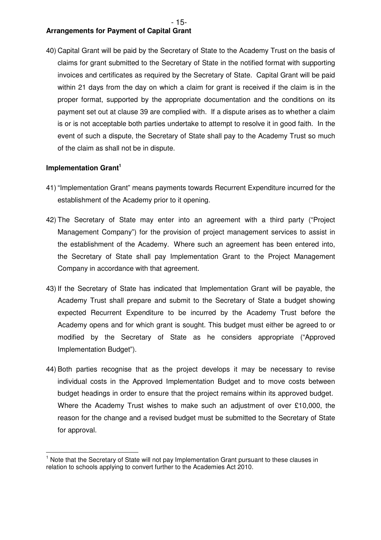#### $- 15$ -**Arrangements for Payment of Capital Grant**

40) Capital Grant will be paid by the Secretary of State to the Academy Trust on the basis of claims for grant submitted to the Secretary of State in the notified format with supporting invoices and certificates as required by the Secretary of State. Capital Grant will be paid within 21 days from the day on which a claim for grant is received if the claim is in the proper format, supported by the appropriate documentation and the conditions on its payment set out at clause 39 are complied with. If a dispute arises as to whether a claim is or is not acceptable both parties undertake to attempt to resolve it in good faith. In the event of such a dispute, the Secretary of State shall pay to the Academy Trust so much of the claim as shall not be in dispute.

## **Implementation Grant<sup>1</sup>**

- 41) "Implementation Grant" means payments towards Recurrent Expenditure incurred for the establishment of the Academy prior to it opening.
- 42) The Secretary of State may enter into an agreement with a third party ("Project Management Company") for the provision of project management services to assist in the establishment of the Academy. Where such an agreement has been entered into, the Secretary of State shall pay Implementation Grant to the Project Management Company in accordance with that agreement.
- 43) If the Secretary of State has indicated that Implementation Grant will be payable, the Academy Trust shall prepare and submit to the Secretary of State a budget showing expected Recurrent Expenditure to be incurred by the Academy Trust before the Academy opens and for which grant is sought. This budget must either be agreed to or modified by the Secretary of State as he considers appropriate ("Approved Implementation Budget").
- 44) Both parties recognise that as the project develops it may be necessary to revise individual costs in the Approved Implementation Budget and to move costs between budget headings in order to ensure that the project remains within its approved budget. Where the Academy Trust wishes to make such an adjustment of over £10,000, the reason for the change and a revised budget must be submitted to the Secretary of State for approval.

 $\overline{1}$ 1 Note that the Secretary of State will not pay Implementation Grant pursuant to these clauses in relation to schools applying to convert further to the Academies Act 2010.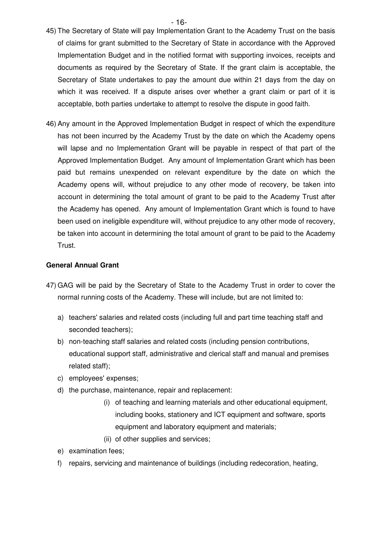- $16$ -
- 45) The Secretary of State will pay Implementation Grant to the Academy Trust on the basis of claims for grant submitted to the Secretary of State in accordance with the Approved Implementation Budget and in the notified format with supporting invoices, receipts and documents as required by the Secretary of State. If the grant claim is acceptable, the Secretary of State undertakes to pay the amount due within 21 days from the day on which it was received. If a dispute arises over whether a grant claim or part of it is acceptable, both parties undertake to attempt to resolve the dispute in good faith.
- 46) Any amount in the Approved Implementation Budget in respect of which the expenditure has not been incurred by the Academy Trust by the date on which the Academy opens will lapse and no Implementation Grant will be payable in respect of that part of the Approved Implementation Budget. Any amount of Implementation Grant which has been paid but remains unexpended on relevant expenditure by the date on which the Academy opens will, without prejudice to any other mode of recovery, be taken into account in determining the total amount of grant to be paid to the Academy Trust after the Academy has opened. Any amount of Implementation Grant which is found to have been used on ineligible expenditure will, without prejudice to any other mode of recovery, be taken into account in determining the total amount of grant to be paid to the Academy Trust.

## **General Annual Grant**

- 47) GAG will be paid by the Secretary of State to the Academy Trust in order to cover the normal running costs of the Academy. These will include, but are not limited to:
	- a) teachers' salaries and related costs (including full and part time teaching staff and seconded teachers);
	- b) non-teaching staff salaries and related costs (including pension contributions, educational support staff, administrative and clerical staff and manual and premises related staff);
	- c) employees' expenses;
	- d) the purchase, maintenance, repair and replacement:
		- (i) of teaching and learning materials and other educational equipment, including books, stationery and ICT equipment and software, sports equipment and laboratory equipment and materials;
		- (ii) of other supplies and services;
	- e) examination fees;
	- f) repairs, servicing and maintenance of buildings (including redecoration, heating,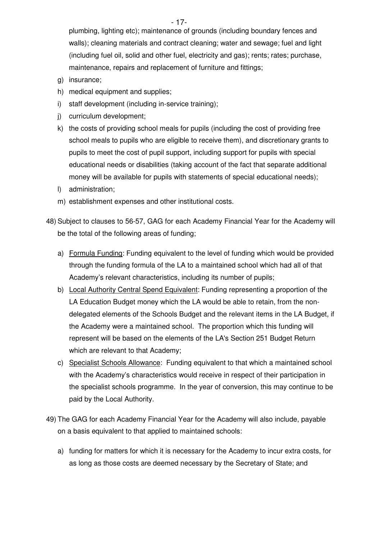- 17-

plumbing, lighting etc); maintenance of grounds (including boundary fences and walls); cleaning materials and contract cleaning; water and sewage; fuel and light (including fuel oil, solid and other fuel, electricity and gas); rents; rates; purchase, maintenance, repairs and replacement of furniture and fittings;

- g) insurance;
- h) medical equipment and supplies;
- i) staff development (including in-service training);
- j) curriculum development;
- k) the costs of providing school meals for pupils (including the cost of providing free school meals to pupils who are eligible to receive them), and discretionary grants to pupils to meet the cost of pupil support, including support for pupils with special educational needs or disabilities (taking account of the fact that separate additional money will be available for pupils with statements of special educational needs);
- l) administration;
- m) establishment expenses and other institutional costs.
- 48) Subject to clauses to 56-57, GAG for each Academy Financial Year for the Academy will be the total of the following areas of funding;
	- a) Formula Funding: Funding equivalent to the level of funding which would be provided through the funding formula of the LA to a maintained school which had all of that Academy's relevant characteristics, including its number of pupils;
	- b) Local Authority Central Spend Equivalent: Funding representing a proportion of the LA Education Budget money which the LA would be able to retain, from the nondelegated elements of the Schools Budget and the relevant items in the LA Budget, if the Academy were a maintained school. The proportion which this funding will represent will be based on the elements of the LA's Section 251 Budget Return which are relevant to that Academy;
	- c) Specialist Schools Allowance: Funding equivalent to that which a maintained school with the Academy's characteristics would receive in respect of their participation in the specialist schools programme. In the year of conversion, this may continue to be paid by the Local Authority.
- 49) The GAG for each Academy Financial Year for the Academy will also include, payable on a basis equivalent to that applied to maintained schools:
	- a) funding for matters for which it is necessary for the Academy to incur extra costs, for as long as those costs are deemed necessary by the Secretary of State; and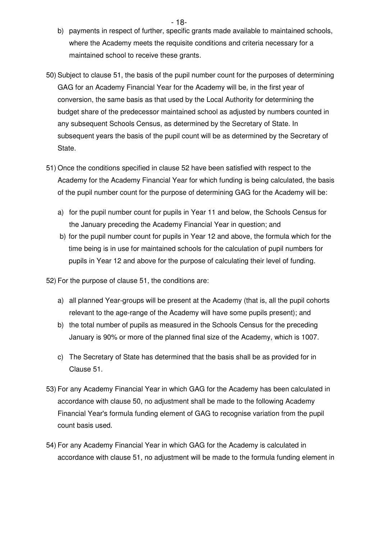- $18$ b) payments in respect of further, specific grants made available to maintained schools, where the Academy meets the requisite conditions and criteria necessary for a maintained school to receive these grants.
- 50) Subject to clause 51, the basis of the pupil number count for the purposes of determining GAG for an Academy Financial Year for the Academy will be, in the first year of conversion, the same basis as that used by the Local Authority for determining the budget share of the predecessor maintained school as adjusted by numbers counted in any subsequent Schools Census, as determined by the Secretary of State. In subsequent years the basis of the pupil count will be as determined by the Secretary of State.
- 51) Once the conditions specified in clause 52 have been satisfied with respect to the Academy for the Academy Financial Year for which funding is being calculated, the basis of the pupil number count for the purpose of determining GAG for the Academy will be:
	- a) for the pupil number count for pupils in Year 11 and below, the Schools Census for the January preceding the Academy Financial Year in question; and
	- b) for the pupil number count for pupils in Year 12 and above, the formula which for the time being is in use for maintained schools for the calculation of pupil numbers for pupils in Year 12 and above for the purpose of calculating their level of funding.

52) For the purpose of clause 51, the conditions are:

- a) all planned Year-groups will be present at the Academy (that is, all the pupil cohorts relevant to the age-range of the Academy will have some pupils present); and
- b) the total number of pupils as measured in the Schools Census for the preceding January is 90% or more of the planned final size of the Academy, which is 1007.
- c) The Secretary of State has determined that the basis shall be as provided for in Clause 51.
- 53) For any Academy Financial Year in which GAG for the Academy has been calculated in accordance with clause 50, no adjustment shall be made to the following Academy Financial Year's formula funding element of GAG to recognise variation from the pupil count basis used.
- 54) For any Academy Financial Year in which GAG for the Academy is calculated in accordance with clause 51, no adjustment will be made to the formula funding element in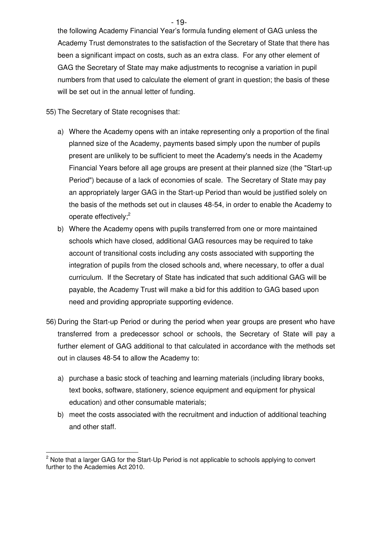the following Academy Financial Year's formula funding element of GAG unless the Academy Trust demonstrates to the satisfaction of the Secretary of State that there has been a significant impact on costs, such as an extra class. For any other element of GAG the Secretary of State may make adjustments to recognise a variation in pupil numbers from that used to calculate the element of grant in question; the basis of these will be set out in the annual letter of funding.

55) The Secretary of State recognises that:

- a) Where the Academy opens with an intake representing only a proportion of the final planned size of the Academy, payments based simply upon the number of pupils present are unlikely to be sufficient to meet the Academy's needs in the Academy Financial Years before all age groups are present at their planned size (the "Start-up Period") because of a lack of economies of scale. The Secretary of State may pay an appropriately larger GAG in the Start-up Period than would be justified solely on the basis of the methods set out in clauses 48-54, in order to enable the Academy to operate effectively;<sup>2</sup>
- b) Where the Academy opens with pupils transferred from one or more maintained schools which have closed, additional GAG resources may be required to take account of transitional costs including any costs associated with supporting the integration of pupils from the closed schools and, where necessary, to offer a dual curriculum. If the Secretary of State has indicated that such additional GAG will be payable, the Academy Trust will make a bid for this addition to GAG based upon need and providing appropriate supporting evidence.
- 56) During the Start-up Period or during the period when year groups are present who have transferred from a predecessor school or schools, the Secretary of State will pay a further element of GAG additional to that calculated in accordance with the methods set out in clauses 48-54 to allow the Academy to:
	- a) purchase a basic stock of teaching and learning materials (including library books, text books, software, stationery, science equipment and equipment for physical education) and other consumable materials;
	- b) meet the costs associated with the recruitment and induction of additional teaching and other staff.

 $\overline{\phantom{a}}$ <sup>2</sup> Note that a larger GAG for the Start-Up Period is not applicable to schools applying to convert further to the Academies Act 2010.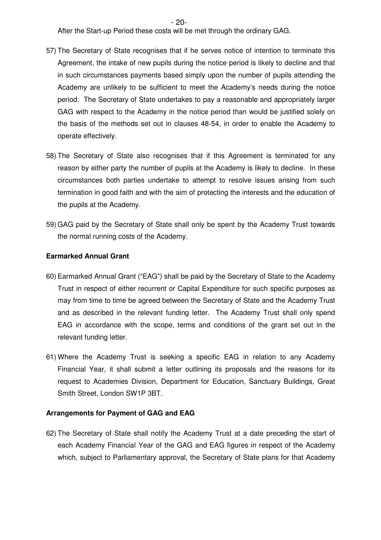$-$  20-

After the Start-up Period these costs will be met through the ordinary GAG.

- 57) The Secretary of State recognises that if he serves notice of intention to terminate this Agreement, the intake of new pupils during the notice period is likely to decline and that in such circumstances payments based simply upon the number of pupils attending the Academy are unlikely to be sufficient to meet the Academy's needs during the notice period. The Secretary of State undertakes to pay a reasonable and appropriately larger GAG with respect to the Academy in the notice period than would be justified solely on the basis of the methods set out in clauses 48-54, in order to enable the Academy to operate effectively.
- 58) The Secretary of State also recognises that if this Agreement is terminated for any reason by either party the number of pupils at the Academy is likely to decline. In these circumstances both parties undertake to attempt to resolve issues arising from such termination in good faith and with the aim of protecting the interests and the education of the pupils at the Academy.
- 59) GAG paid by the Secretary of State shall only be spent by the Academy Trust towards the normal running costs of the Academy.

#### **Earmarked Annual Grant**

- 60) Earmarked Annual Grant ("EAG") shall be paid by the Secretary of State to the Academy Trust in respect of either recurrent or Capital Expenditure for such specific purposes as may from time to time be agreed between the Secretary of State and the Academy Trust and as described in the relevant funding letter. The Academy Trust shall only spend EAG in accordance with the scope, terms and conditions of the grant set out in the relevant funding letter.
- 61) Where the Academy Trust is seeking a specific EAG in relation to any Academy Financial Year, it shall submit a letter outlining its proposals and the reasons for its request to Academies Division, Department for Education, Sanctuary Buildings, Great Smith Street, London SW1P 3BT.

#### **Arrangements for Payment of GAG and EAG**

62) The Secretary of State shall notify the Academy Trust at a date preceding the start of each Academy Financial Year of the GAG and EAG figures in respect of the Academy which, subject to Parliamentary approval, the Secretary of State plans for that Academy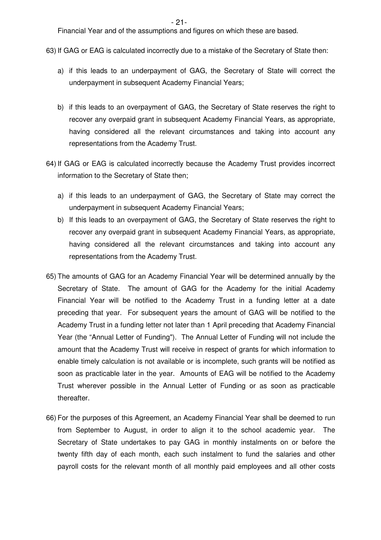$- 21$ -

Financial Year and of the assumptions and figures on which these are based.

63) If GAG or EAG is calculated incorrectly due to a mistake of the Secretary of State then:

- a) if this leads to an underpayment of GAG, the Secretary of State will correct the underpayment in subsequent Academy Financial Years;
- b) if this leads to an overpayment of GAG, the Secretary of State reserves the right to recover any overpaid grant in subsequent Academy Financial Years, as appropriate, having considered all the relevant circumstances and taking into account any representations from the Academy Trust.
- 64) If GAG or EAG is calculated incorrectly because the Academy Trust provides incorrect information to the Secretary of State then;
	- a) if this leads to an underpayment of GAG, the Secretary of State may correct the underpayment in subsequent Academy Financial Years;
	- b) If this leads to an overpayment of GAG, the Secretary of State reserves the right to recover any overpaid grant in subsequent Academy Financial Years, as appropriate, having considered all the relevant circumstances and taking into account any representations from the Academy Trust.
- 65) The amounts of GAG for an Academy Financial Year will be determined annually by the Secretary of State. The amount of GAG for the Academy for the initial Academy Financial Year will be notified to the Academy Trust in a funding letter at a date preceding that year. For subsequent years the amount of GAG will be notified to the Academy Trust in a funding letter not later than 1 April preceding that Academy Financial Year (the "Annual Letter of Funding"). The Annual Letter of Funding will not include the amount that the Academy Trust will receive in respect of grants for which information to enable timely calculation is not available or is incomplete, such grants will be notified as soon as practicable later in the year. Amounts of EAG will be notified to the Academy Trust wherever possible in the Annual Letter of Funding or as soon as practicable thereafter.
- 66) For the purposes of this Agreement, an Academy Financial Year shall be deemed to run from September to August, in order to align it to the school academic year. The Secretary of State undertakes to pay GAG in monthly instalments on or before the twenty fifth day of each month, each such instalment to fund the salaries and other payroll costs for the relevant month of all monthly paid employees and all other costs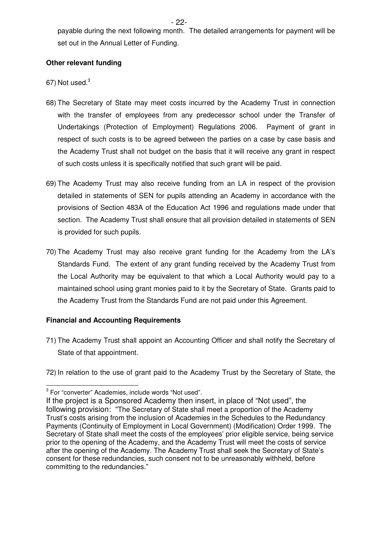$-$  22payable during the next following month. The detailed arrangements for payment will be set out in the Annual Letter of Funding.

## **Other relevant funding**

- 67) Not used.<sup>3</sup>
- 68) The Secretary of State may meet costs incurred by the Academy Trust in connection with the transfer of employees from any predecessor school under the Transfer of Undertakings (Protection of Employment) Regulations 2006. Payment of grant in respect of such costs is to be agreed between the parties on a case by case basis and the Academy Trust shall not budget on the basis that it will receive any grant in respect of such costs unless it is specifically notified that such grant will be paid.
- 69) The Academy Trust may also receive funding from an LA in respect of the provision detailed in statements of SEN for pupils attending an Academy in accordance with the provisions of Section 483A of the Education Act 1996 and regulations made under that section. The Academy Trust shall ensure that all provision detailed in statements of SEN is provided for such pupils.
- 70) The Academy Trust may also receive grant funding for the Academy from the LA's Standards Fund. The extent of any grant funding received by the Academy Trust from the Local Authority may be equivalent to that which a Local Authority would pay to a maintained school using grant monies paid to it by the Secretary of State. Grants paid to the Academy Trust from the Standards Fund are not paid under this Agreement.

## **Financial and Accounting Requirements**

71) The Academy Trust shall appoint an Accounting Officer and shall notify the Secretary of State of that appointment.

72) In relation to the use of grant paid to the Academy Trust by the Secretary of State, the

<sup>&</sup>lt;u>meconverter</u><br>
<sup>3</sup> For "converter" Academies, include words "Not used".

If the project is a Sponsored Academy then insert, in place of "Not used", the following provision: "The Secretary of State shall meet a proportion of the Academy Trust's costs arising from the inclusion of Academies in the Schedules to the Redundancy Payments (Continuity of Employment in Local Government) (Modification) Order 1999. The Secretary of State shall meet the costs of the employees' prior eligible service, being service prior to the opening of the Academy, and the Academy Trust will meet the costs of service after the opening of the Academy. The Academy Trust shall seek the Secretary of State's consent for these redundancies, such consent not to be unreasonably withheld, before committing to the redundancies."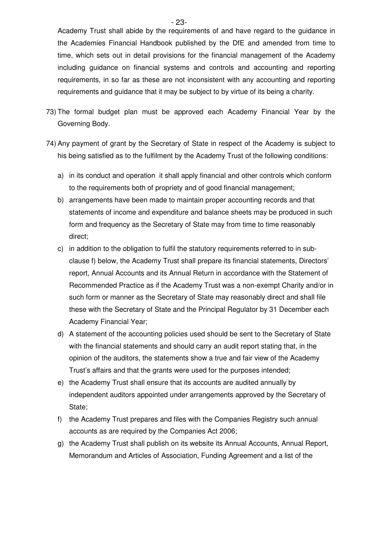Academy Trust shall abide by the requirements of and have regard to the guidance in the Academies Financial Handbook published by the DfE and amended from time to time, which sets out in detail provisions for the financial management of the Academy including guidance on financial systems and controls and accounting and reporting requirements, in so far as these are not inconsistent with any accounting and reporting requirements and guidance that it may be subject to by virtue of its being a charity.

- 73) The formal budget plan must be approved each Academy Financial Year by the Governing Body.
- 74) Any payment of grant by the Secretary of State in respect of the Academy is subject to his being satisfied as to the fulfilment by the Academy Trust of the following conditions:
	- a) in its conduct and operation it shall apply financial and other controls which conform to the requirements both of propriety and of good financial management;
	- b) arrangements have been made to maintain proper accounting records and that statements of income and expenditure and balance sheets may be produced in such form and frequency as the Secretary of State may from time to time reasonably direct;
	- c) in addition to the obligation to fulfil the statutory requirements referred to in subclause f) below, the Academy Trust shall prepare its financial statements, Directors' report, Annual Accounts and its Annual Return in accordance with the Statement of Recommended Practice as if the Academy Trust was a non-exempt Charity and/or in such form or manner as the Secretary of State may reasonably direct and shall file these with the Secretary of State and the Principal Regulator by 31 December each Academy Financial Year;
	- d) A statement of the accounting policies used should be sent to the Secretary of State with the financial statements and should carry an audit report stating that, in the opinion of the auditors, the statements show a true and fair view of the Academy Trust's affairs and that the grants were used for the purposes intended;
	- e) the Academy Trust shall ensure that its accounts are audited annually by independent auditors appointed under arrangements approved by the Secretary of State;
	- f) the Academy Trust prepares and files with the Companies Registry such annual accounts as are required by the Companies Act 2006;
	- g) the Academy Trust shall publish on its website its Annual Accounts, Annual Report, Memorandum and Articles of Association, Funding Agreement and a list of the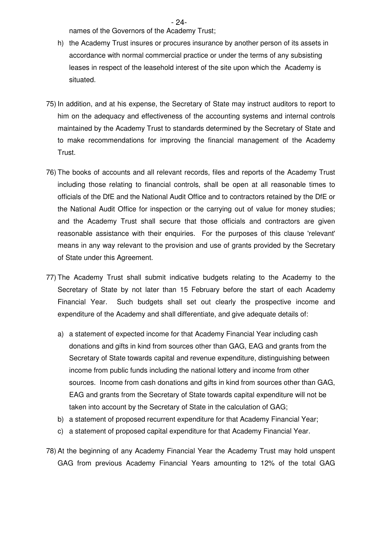- 24 names of the Governors of the Academy Trust;

- h) the Academy Trust insures or procures insurance by another person of its assets in accordance with normal commercial practice or under the terms of any subsisting leases in respect of the leasehold interest of the site upon which the Academy is situated.
- 75) In addition, and at his expense, the Secretary of State may instruct auditors to report to him on the adequacy and effectiveness of the accounting systems and internal controls maintained by the Academy Trust to standards determined by the Secretary of State and to make recommendations for improving the financial management of the Academy Trust.
- 76) The books of accounts and all relevant records, files and reports of the Academy Trust including those relating to financial controls, shall be open at all reasonable times to officials of the DfE and the National Audit Office and to contractors retained by the DfE or the National Audit Office for inspection or the carrying out of value for money studies; and the Academy Trust shall secure that those officials and contractors are given reasonable assistance with their enquiries. For the purposes of this clause 'relevant' means in any way relevant to the provision and use of grants provided by the Secretary of State under this Agreement.
- 77) The Academy Trust shall submit indicative budgets relating to the Academy to the Secretary of State by not later than 15 February before the start of each Academy Financial Year. Such budgets shall set out clearly the prospective income and expenditure of the Academy and shall differentiate, and give adequate details of:
	- a) a statement of expected income for that Academy Financial Year including cash donations and gifts in kind from sources other than GAG, EAG and grants from the Secretary of State towards capital and revenue expenditure, distinguishing between income from public funds including the national lottery and income from other sources. Income from cash donations and gifts in kind from sources other than GAG, EAG and grants from the Secretary of State towards capital expenditure will not be taken into account by the Secretary of State in the calculation of GAG;
	- b) a statement of proposed recurrent expenditure for that Academy Financial Year;
	- c) a statement of proposed capital expenditure for that Academy Financial Year.
- 78) At the beginning of any Academy Financial Year the Academy Trust may hold unspent GAG from previous Academy Financial Years amounting to 12% of the total GAG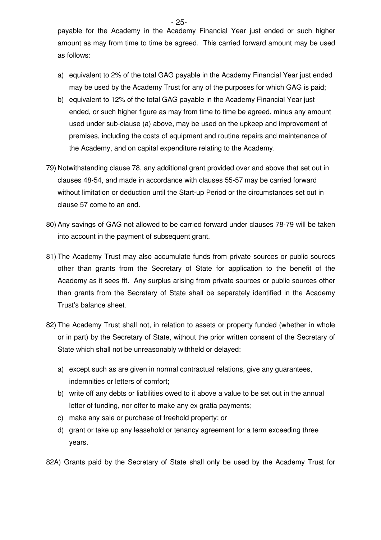$-$  25payable for the Academy in the Academy Financial Year just ended or such higher amount as may from time to time be agreed. This carried forward amount may be used as follows:

- a) equivalent to 2% of the total GAG payable in the Academy Financial Year just ended may be used by the Academy Trust for any of the purposes for which GAG is paid;
- b) equivalent to 12% of the total GAG payable in the Academy Financial Year just ended, or such higher figure as may from time to time be agreed, minus any amount used under sub-clause (a) above, may be used on the upkeep and improvement of premises, including the costs of equipment and routine repairs and maintenance of the Academy, and on capital expenditure relating to the Academy.
- 79) Notwithstanding clause 78, any additional grant provided over and above that set out in clauses 48-54, and made in accordance with clauses 55-57 may be carried forward without limitation or deduction until the Start-up Period or the circumstances set out in clause 57 come to an end.
- 80) Any savings of GAG not allowed to be carried forward under clauses 78-79 will be taken into account in the payment of subsequent grant.
- 81) The Academy Trust may also accumulate funds from private sources or public sources other than grants from the Secretary of State for application to the benefit of the Academy as it sees fit. Any surplus arising from private sources or public sources other than grants from the Secretary of State shall be separately identified in the Academy Trust's balance sheet.
- 82) The Academy Trust shall not, in relation to assets or property funded (whether in whole or in part) by the Secretary of State, without the prior written consent of the Secretary of State which shall not be unreasonably withheld or delayed:
	- a) except such as are given in normal contractual relations, give any guarantees, indemnities or letters of comfort;
	- b) write off any debts or liabilities owed to it above a value to be set out in the annual letter of funding, nor offer to make any ex gratia payments;
	- c) make any sale or purchase of freehold property; or
	- d) grant or take up any leasehold or tenancy agreement for a term exceeding three years.
- 82A) Grants paid by the Secretary of State shall only be used by the Academy Trust for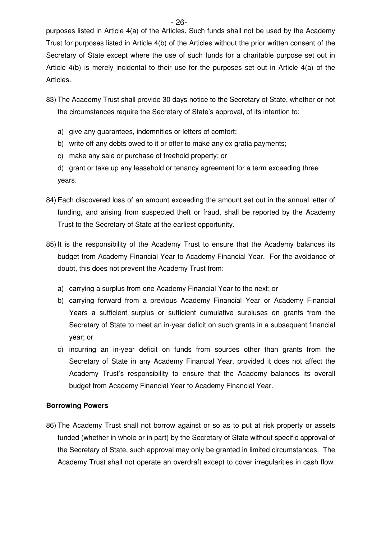purposes listed in Article 4(a) of the Articles. Such funds shall not be used by the Academy Trust for purposes listed in Article 4(b) of the Articles without the prior written consent of the Secretary of State except where the use of such funds for a charitable purpose set out in Article 4(b) is merely incidental to their use for the purposes set out in Article 4(a) of the Articles.

- 83) The Academy Trust shall provide 30 days notice to the Secretary of State, whether or not the circumstances require the Secretary of State's approval, of its intention to:
	- a) give any guarantees, indemnities or letters of comfort;
	- b) write off any debts owed to it or offer to make any ex gratia payments;
	- c) make any sale or purchase of freehold property; or
	- d) grant or take up any leasehold or tenancy agreement for a term exceeding three years.
- 84) Each discovered loss of an amount exceeding the amount set out in the annual letter of funding, and arising from suspected theft or fraud, shall be reported by the Academy Trust to the Secretary of State at the earliest opportunity.
- 85) It is the responsibility of the Academy Trust to ensure that the Academy balances its budget from Academy Financial Year to Academy Financial Year. For the avoidance of doubt, this does not prevent the Academy Trust from:
	- a) carrying a surplus from one Academy Financial Year to the next; or
	- b) carrying forward from a previous Academy Financial Year or Academy Financial Years a sufficient surplus or sufficient cumulative surpluses on grants from the Secretary of State to meet an in-year deficit on such grants in a subsequent financial year; or
	- c) incurring an in-year deficit on funds from sources other than grants from the Secretary of State in any Academy Financial Year, provided it does not affect the Academy Trust's responsibility to ensure that the Academy balances its overall budget from Academy Financial Year to Academy Financial Year.

#### **Borrowing Powers**

86) The Academy Trust shall not borrow against or so as to put at risk property or assets funded (whether in whole or in part) by the Secretary of State without specific approval of the Secretary of State, such approval may only be granted in limited circumstances. The Academy Trust shall not operate an overdraft except to cover irregularities in cash flow.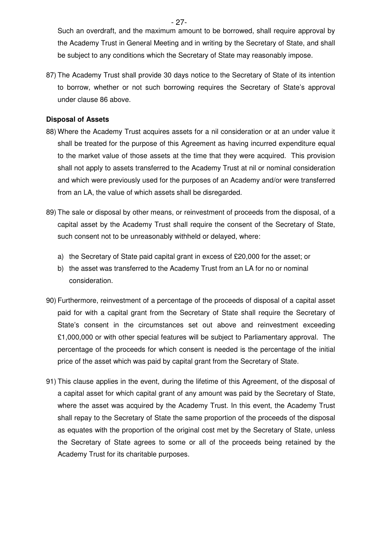$- 27-$ Such an overdraft, and the maximum amount to be borrowed, shall require approval by the Academy Trust in General Meeting and in writing by the Secretary of State, and shall be subject to any conditions which the Secretary of State may reasonably impose.

87) The Academy Trust shall provide 30 days notice to the Secretary of State of its intention to borrow, whether or not such borrowing requires the Secretary of State's approval under clause 86 above.

#### **Disposal of Assets**

- 88) Where the Academy Trust acquires assets for a nil consideration or at an under value it shall be treated for the purpose of this Agreement as having incurred expenditure equal to the market value of those assets at the time that they were acquired. This provision shall not apply to assets transferred to the Academy Trust at nil or nominal consideration and which were previously used for the purposes of an Academy and/or were transferred from an LA, the value of which assets shall be disregarded.
- 89) The sale or disposal by other means, or reinvestment of proceeds from the disposal, of a capital asset by the Academy Trust shall require the consent of the Secretary of State, such consent not to be unreasonably withheld or delayed, where:
	- a) the Secretary of State paid capital grant in excess of £20,000 for the asset; or
	- b) the asset was transferred to the Academy Trust from an LA for no or nominal consideration.
- 90) Furthermore, reinvestment of a percentage of the proceeds of disposal of a capital asset paid for with a capital grant from the Secretary of State shall require the Secretary of State's consent in the circumstances set out above and reinvestment exceeding £1,000,000 or with other special features will be subject to Parliamentary approval. The percentage of the proceeds for which consent is needed is the percentage of the initial price of the asset which was paid by capital grant from the Secretary of State.
- 91) This clause applies in the event, during the lifetime of this Agreement, of the disposal of a capital asset for which capital grant of any amount was paid by the Secretary of State, where the asset was acquired by the Academy Trust. In this event, the Academy Trust shall repay to the Secretary of State the same proportion of the proceeds of the disposal as equates with the proportion of the original cost met by the Secretary of State, unless the Secretary of State agrees to some or all of the proceeds being retained by the Academy Trust for its charitable purposes.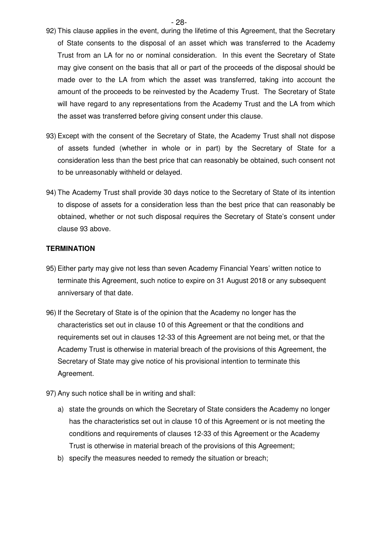- 92) This clause applies in the event, during the lifetime of this Agreement, that the Secretary of State consents to the disposal of an asset which was transferred to the Academy Trust from an LA for no or nominal consideration. In this event the Secretary of State may give consent on the basis that all or part of the proceeds of the disposal should be made over to the LA from which the asset was transferred, taking into account the amount of the proceeds to be reinvested by the Academy Trust. The Secretary of State will have regard to any representations from the Academy Trust and the LA from which the asset was transferred before giving consent under this clause.
- 93) Except with the consent of the Secretary of State, the Academy Trust shall not dispose of assets funded (whether in whole or in part) by the Secretary of State for a consideration less than the best price that can reasonably be obtained, such consent not to be unreasonably withheld or delayed.
- 94) The Academy Trust shall provide 30 days notice to the Secretary of State of its intention to dispose of assets for a consideration less than the best price that can reasonably be obtained, whether or not such disposal requires the Secretary of State's consent under clause 93 above.

#### **TERMINATION**

- 95) Either party may give not less than seven Academy Financial Years' written notice to terminate this Agreement, such notice to expire on 31 August 2018 or any subsequent anniversary of that date.
- 96) If the Secretary of State is of the opinion that the Academy no longer has the characteristics set out in clause 10 of this Agreement or that the conditions and requirements set out in clauses 12-33 of this Agreement are not being met, or that the Academy Trust is otherwise in material breach of the provisions of this Agreement, the Secretary of State may give notice of his provisional intention to terminate this Agreement.
- 97) Any such notice shall be in writing and shall:
	- a) state the grounds on which the Secretary of State considers the Academy no longer has the characteristics set out in clause 10 of this Agreement or is not meeting the conditions and requirements of clauses 12-33 of this Agreement or the Academy Trust is otherwise in material breach of the provisions of this Agreement;
	- b) specify the measures needed to remedy the situation or breach;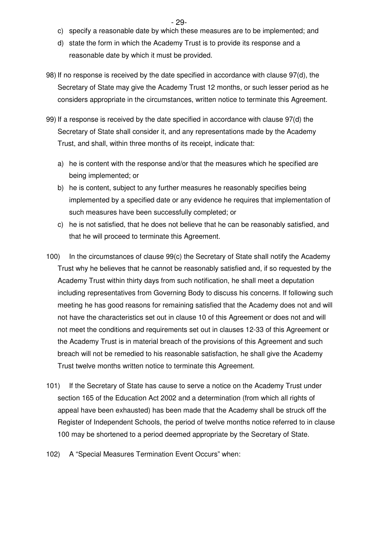- $-$  29
	- c) specify a reasonable date by which these measures are to be implemented; and
	- d) state the form in which the Academy Trust is to provide its response and a reasonable date by which it must be provided.
- 98) If no response is received by the date specified in accordance with clause 97(d), the Secretary of State may give the Academy Trust 12 months, or such lesser period as he considers appropriate in the circumstances, written notice to terminate this Agreement.
- 99) If a response is received by the date specified in accordance with clause 97(d) the Secretary of State shall consider it, and any representations made by the Academy Trust, and shall, within three months of its receipt, indicate that:
	- a) he is content with the response and/or that the measures which he specified are being implemented; or
	- b) he is content, subject to any further measures he reasonably specifies being implemented by a specified date or any evidence he requires that implementation of such measures have been successfully completed; or
	- c) he is not satisfied, that he does not believe that he can be reasonably satisfied, and that he will proceed to terminate this Agreement.
- 100) In the circumstances of clause 99(c) the Secretary of State shall notify the Academy Trust why he believes that he cannot be reasonably satisfied and, if so requested by the Academy Trust within thirty days from such notification, he shall meet a deputation including representatives from Governing Body to discuss his concerns. If following such meeting he has good reasons for remaining satisfied that the Academy does not and will not have the characteristics set out in clause 10 of this Agreement or does not and will not meet the conditions and requirements set out in clauses 12-33 of this Agreement or the Academy Trust is in material breach of the provisions of this Agreement and such breach will not be remedied to his reasonable satisfaction, he shall give the Academy Trust twelve months written notice to terminate this Agreement.
- 101) If the Secretary of State has cause to serve a notice on the Academy Trust under section 165 of the Education Act 2002 and a determination (from which all rights of appeal have been exhausted) has been made that the Academy shall be struck off the Register of Independent Schools, the period of twelve months notice referred to in clause 100 may be shortened to a period deemed appropriate by the Secretary of State.
- 102) A "Special Measures Termination Event Occurs" when: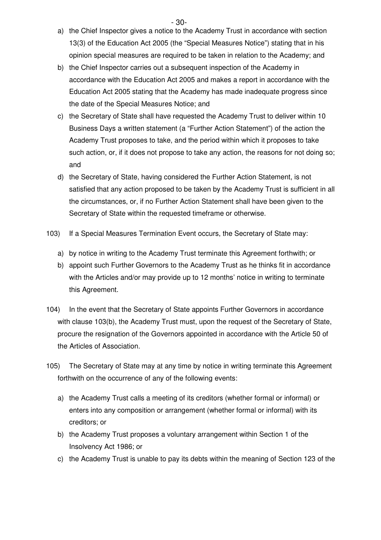$-$  30-

- a) the Chief Inspector gives a notice to the Academy Trust in accordance with section 13(3) of the Education Act 2005 (the "Special Measures Notice") stating that in his opinion special measures are required to be taken in relation to the Academy; and
- b) the Chief Inspector carries out a subsequent inspection of the Academy in accordance with the Education Act 2005 and makes a report in accordance with the Education Act 2005 stating that the Academy has made inadequate progress since the date of the Special Measures Notice; and
- c) the Secretary of State shall have requested the Academy Trust to deliver within 10 Business Days a written statement (a "Further Action Statement") of the action the Academy Trust proposes to take, and the period within which it proposes to take such action, or, if it does not propose to take any action, the reasons for not doing so; and
- d) the Secretary of State, having considered the Further Action Statement, is not satisfied that any action proposed to be taken by the Academy Trust is sufficient in all the circumstances, or, if no Further Action Statement shall have been given to the Secretary of State within the requested timeframe or otherwise.
- 103) If a Special Measures Termination Event occurs, the Secretary of State may:
	- a) by notice in writing to the Academy Trust terminate this Agreement forthwith; or
	- b) appoint such Further Governors to the Academy Trust as he thinks fit in accordance with the Articles and/or may provide up to 12 months' notice in writing to terminate this Agreement.
- 104) In the event that the Secretary of State appoints Further Governors in accordance with clause 103(b), the Academy Trust must, upon the request of the Secretary of State, procure the resignation of the Governors appointed in accordance with the Article 50 of the Articles of Association.
- 105) The Secretary of State may at any time by notice in writing terminate this Agreement forthwith on the occurrence of any of the following events:
	- a) the Academy Trust calls a meeting of its creditors (whether formal or informal) or enters into any composition or arrangement (whether formal or informal) with its creditors; or
	- b) the Academy Trust proposes a voluntary arrangement within Section 1 of the Insolvency Act 1986; or
	- c) the Academy Trust is unable to pay its debts within the meaning of Section 123 of the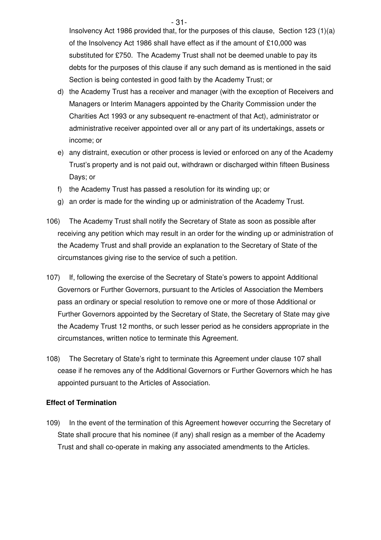$-$  31-Insolvency Act 1986 provided that, for the purposes of this clause, Section 123 (1)(a) of the Insolvency Act 1986 shall have effect as if the amount of £10,000 was substituted for £750. The Academy Trust shall not be deemed unable to pay its debts for the purposes of this clause if any such demand as is mentioned in the said Section is being contested in good faith by the Academy Trust; or

- d) the Academy Trust has a receiver and manager (with the exception of Receivers and Managers or Interim Managers appointed by the Charity Commission under the Charities Act 1993 or any subsequent re-enactment of that Act), administrator or administrative receiver appointed over all or any part of its undertakings, assets or income; or
- e) any distraint, execution or other process is levied or enforced on any of the Academy Trust's property and is not paid out, withdrawn or discharged within fifteen Business Days; or
- f) the Academy Trust has passed a resolution for its winding up; or
- g) an order is made for the winding up or administration of the Academy Trust.
- 106) The Academy Trust shall notify the Secretary of State as soon as possible after receiving any petition which may result in an order for the winding up or administration of the Academy Trust and shall provide an explanation to the Secretary of State of the circumstances giving rise to the service of such a petition.
- 107) If, following the exercise of the Secretary of State's powers to appoint Additional Governors or Further Governors, pursuant to the Articles of Association the Members pass an ordinary or special resolution to remove one or more of those Additional or Further Governors appointed by the Secretary of State, the Secretary of State may give the Academy Trust 12 months, or such lesser period as he considers appropriate in the circumstances, written notice to terminate this Agreement.
- 108) The Secretary of State's right to terminate this Agreement under clause 107 shall cease if he removes any of the Additional Governors or Further Governors which he has appointed pursuant to the Articles of Association.

#### **Effect of Termination**

109) In the event of the termination of this Agreement however occurring the Secretary of State shall procure that his nominee (if any) shall resign as a member of the Academy Trust and shall co-operate in making any associated amendments to the Articles.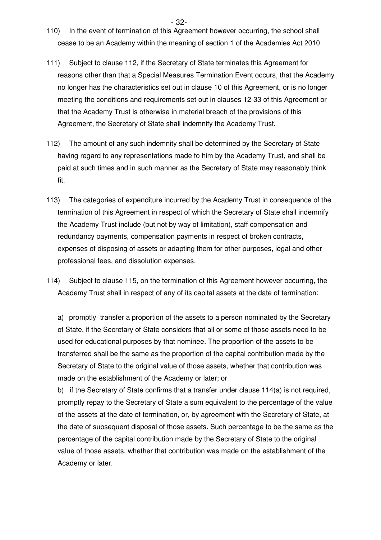$-$  32-

- 110) In the event of termination of this Agreement however occurring, the school shall cease to be an Academy within the meaning of section 1 of the Academies Act 2010.
- 111) Subject to clause 112, if the Secretary of State terminates this Agreement for reasons other than that a Special Measures Termination Event occurs, that the Academy no longer has the characteristics set out in clause 10 of this Agreement, or is no longer meeting the conditions and requirements set out in clauses 12-33 of this Agreement or that the Academy Trust is otherwise in material breach of the provisions of this Agreement, the Secretary of State shall indemnify the Academy Trust.
- 112) The amount of any such indemnity shall be determined by the Secretary of State having regard to any representations made to him by the Academy Trust, and shall be paid at such times and in such manner as the Secretary of State may reasonably think fit.
- 113) The categories of expenditure incurred by the Academy Trust in consequence of the termination of this Agreement in respect of which the Secretary of State shall indemnify the Academy Trust include (but not by way of limitation), staff compensation and redundancy payments, compensation payments in respect of broken contracts, expenses of disposing of assets or adapting them for other purposes, legal and other professional fees, and dissolution expenses.
- 114) Subject to clause 115, on the termination of this Agreement however occurring, the Academy Trust shall in respect of any of its capital assets at the date of termination:

a) promptly transfer a proportion of the assets to a person nominated by the Secretary of State, if the Secretary of State considers that all or some of those assets need to be used for educational purposes by that nominee. The proportion of the assets to be transferred shall be the same as the proportion of the capital contribution made by the Secretary of State to the original value of those assets, whether that contribution was made on the establishment of the Academy or later; or

b) if the Secretary of State confirms that a transfer under clause  $114(a)$  is not required, promptly repay to the Secretary of State a sum equivalent to the percentage of the value of the assets at the date of termination, or, by agreement with the Secretary of State, at the date of subsequent disposal of those assets. Such percentage to be the same as the percentage of the capital contribution made by the Secretary of State to the original value of those assets, whether that contribution was made on the establishment of the Academy or later.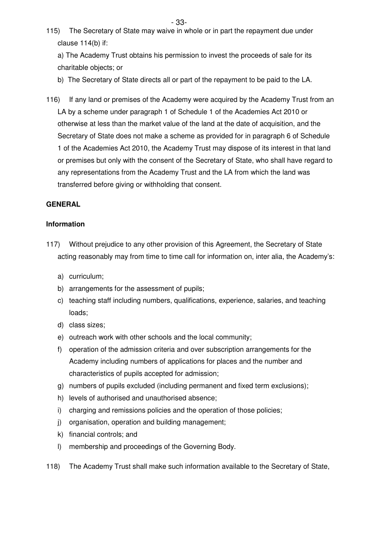$-$  33-115) The Secretary of State may waive in whole or in part the repayment due under clause 114(b) if:

a) The Academy Trust obtains his permission to invest the proceeds of sale for its charitable objects; or

- b) The Secretary of State directs all or part of the repayment to be paid to the LA.
- 116) If any land or premises of the Academy were acquired by the Academy Trust from an LA by a scheme under paragraph 1 of Schedule 1 of the Academies Act 2010 or otherwise at less than the market value of the land at the date of acquisition, and the Secretary of State does not make a scheme as provided for in paragraph 6 of Schedule 1 of the Academies Act 2010, the Academy Trust may dispose of its interest in that land or premises but only with the consent of the Secretary of State, who shall have regard to any representations from the Academy Trust and the LA from which the land was transferred before giving or withholding that consent.

#### **GENERAL**

#### **Information**

- 117) Without prejudice to any other provision of this Agreement, the Secretary of State acting reasonably may from time to time call for information on, inter alia, the Academy's:
	- a) curriculum;
	- b) arrangements for the assessment of pupils;
	- c) teaching staff including numbers, qualifications, experience, salaries, and teaching loads;
	- d) class sizes;
	- e) outreach work with other schools and the local community;
	- f) operation of the admission criteria and over subscription arrangements for the Academy including numbers of applications for places and the number and characteristics of pupils accepted for admission;
	- g) numbers of pupils excluded (including permanent and fixed term exclusions);
	- h) levels of authorised and unauthorised absence;
	- i) charging and remissions policies and the operation of those policies;
	- j) organisation, operation and building management;
	- k) financial controls; and
	- l) membership and proceedings of the Governing Body.
- 118) The Academy Trust shall make such information available to the Secretary of State,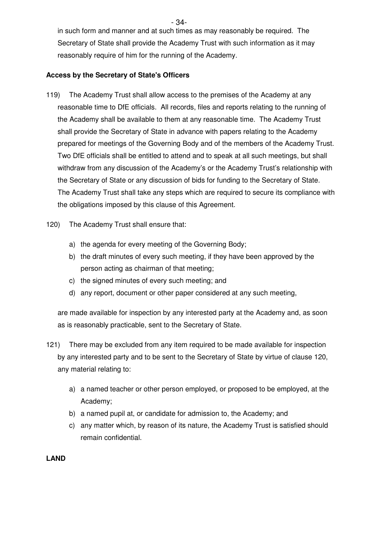- 34-

in such form and manner and at such times as may reasonably be required. The Secretary of State shall provide the Academy Trust with such information as it may reasonably require of him for the running of the Academy.

## **Access by the Secretary of State's Officers**

- 119) The Academy Trust shall allow access to the premises of the Academy at any reasonable time to DfE officials. All records, files and reports relating to the running of the Academy shall be available to them at any reasonable time. The Academy Trust shall provide the Secretary of State in advance with papers relating to the Academy prepared for meetings of the Governing Body and of the members of the Academy Trust. Two DfE officials shall be entitled to attend and to speak at all such meetings, but shall withdraw from any discussion of the Academy's or the Academy Trust's relationship with the Secretary of State or any discussion of bids for funding to the Secretary of State. The Academy Trust shall take any steps which are required to secure its compliance with the obligations imposed by this clause of this Agreement.
- 120) The Academy Trust shall ensure that:
	- a) the agenda for every meeting of the Governing Body;
	- b) the draft minutes of every such meeting, if they have been approved by the person acting as chairman of that meeting;
	- c) the signed minutes of every such meeting; and
	- d) any report, document or other paper considered at any such meeting,

are made available for inspection by any interested party at the Academy and, as soon as is reasonably practicable, sent to the Secretary of State.

- 121) There may be excluded from any item required to be made available for inspection by any interested party and to be sent to the Secretary of State by virtue of clause 120, any material relating to:
	- a) a named teacher or other person employed, or proposed to be employed, at the Academy;
	- b) a named pupil at, or candidate for admission to, the Academy; and
	- c) any matter which, by reason of its nature, the Academy Trust is satisfied should remain confidential.

## **LAND**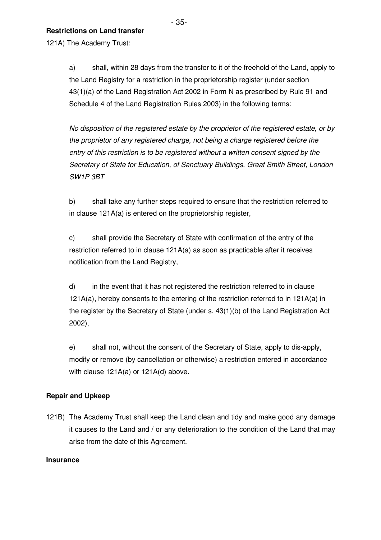$-$  35-**Restrictions on Land transfer** 

121A) The Academy Trust:

a) shall, within 28 days from the transfer to it of the freehold of the Land, apply to the Land Registry for a restriction in the proprietorship register (under section 43(1)(a) of the Land Registration Act 2002 in Form N as prescribed by Rule 91 and Schedule 4 of the Land Registration Rules 2003) in the following terms:

No disposition of the registered estate by the proprietor of the registered estate, or by the proprietor of any registered charge, not being a charge registered before the entry of this restriction is to be registered without a written consent signed by the Secretary of State for Education, of Sanctuary Buildings, Great Smith Street, London SW1P 3BT

b) shall take any further steps required to ensure that the restriction referred to in clause 121A(a) is entered on the proprietorship register,

c) shall provide the Secretary of State with confirmation of the entry of the restriction referred to in clause 121A(a) as soon as practicable after it receives notification from the Land Registry,

d) in the event that it has not registered the restriction referred to in clause 121A(a), hereby consents to the entering of the restriction referred to in 121A(a) in the register by the Secretary of State (under s. 43(1)(b) of the Land Registration Act 2002),

e) shall not, without the consent of the Secretary of State, apply to dis-apply, modify or remove (by cancellation or otherwise) a restriction entered in accordance with clause 121A(a) or 121A(d) above.

## **Repair and Upkeep**

121B) The Academy Trust shall keep the Land clean and tidy and make good any damage it causes to the Land and / or any deterioration to the condition of the Land that may arise from the date of this Agreement.

## **Insurance**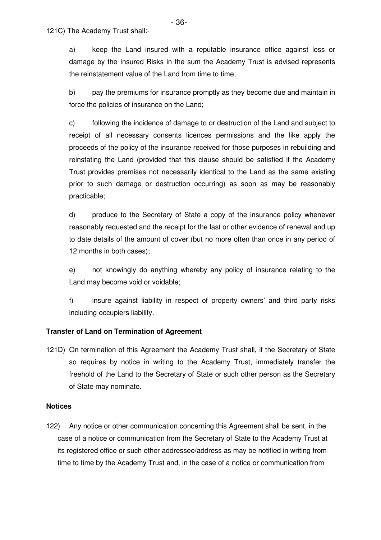a) keep the Land insured with a reputable insurance office against loss or damage by the Insured Risks in the sum the Academy Trust is advised represents the reinstatement value of the Land from time to time;

b) pay the premiums for insurance promptly as they become due and maintain in force the policies of insurance on the Land;

c) following the incidence of damage to or destruction of the Land and subject to receipt of all necessary consents licences permissions and the like apply the proceeds of the policy of the insurance received for those purposes in rebuilding and reinstating the Land (provided that this clause should be satisfied if the Academy Trust provides premises not necessarily identical to the Land as the same existing prior to such damage or destruction occurring) as soon as may be reasonably practicable;

d) produce to the Secretary of State a copy of the insurance policy whenever reasonably requested and the receipt for the last or other evidence of renewal and up to date details of the amount of cover (but no more often than once in any period of 12 months in both cases);

e) not knowingly do anything whereby any policy of insurance relating to the Land may become void or voidable;

f) insure against liability in respect of property owners' and third party risks including occupiers liability.

#### **Transfer of Land on Termination of Agreement**

121D) On termination of this Agreement the Academy Trust shall, if the Secretary of State so requires by notice in writing to the Academy Trust, immediately transfer the freehold of the Land to the Secretary of State or such other person as the Secretary of State may nominate.

#### **Notices**

122) Any notice or other communication concerning this Agreement shall be sent, in the case of a notice or communication from the Secretary of State to the Academy Trust at its registered office or such other addressee/address as may be notified in writing from time to time by the Academy Trust and, in the case of a notice or communication from